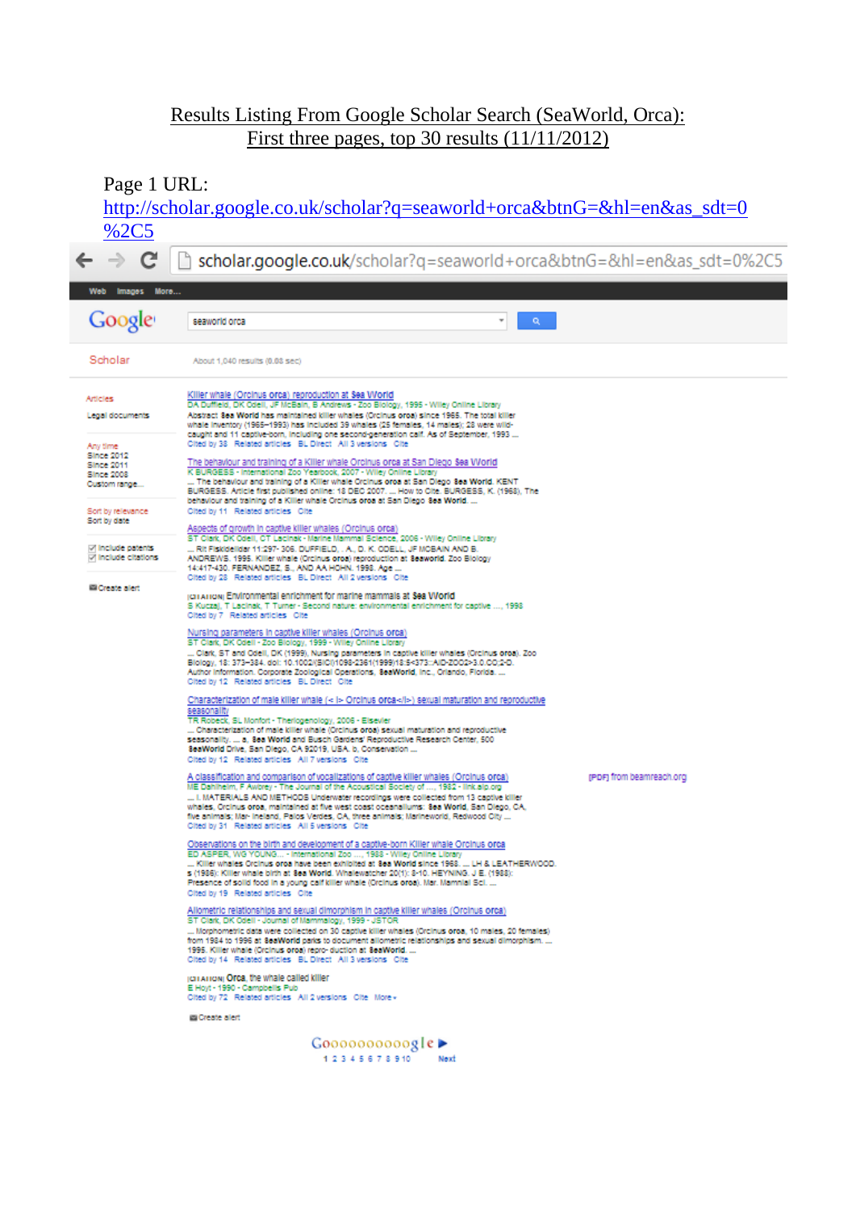## Results Listing From Google Scholar Search (SeaWorld, Orca): First three pages, top 30 results (11/11/2012)

Page 1 URL:

[http://scholar.google.co.uk/scholar?q=seaworld+orca&btnG=&hl=en&as\\_sdt=0](http://scholar.google.co.uk/scholar?q=seaworld+orca&btnG=&hl=en&as_sdt=0%2C5) [%2C5](http://scholar.google.co.uk/scholar?q=seaworld+orca&btnG=&hl=en&as_sdt=0%2C5)

 $\leftarrow$   $\rightarrow$  C h scholar.google.co.uk/scholar?q=seaworld+orca&btnG=&hl=en&as\_sdt=0%2C5

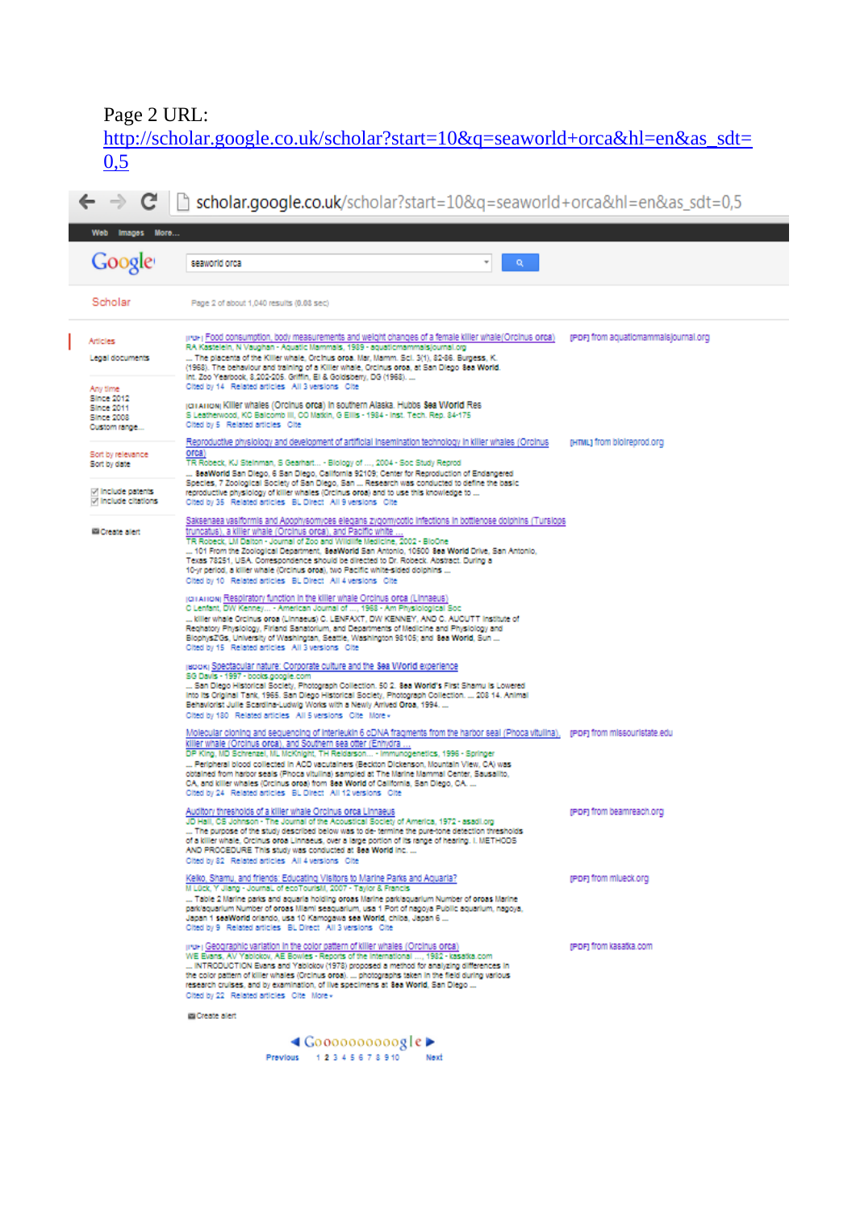## Page 2 URL:

[http://scholar.google.co.uk/scholar?start=10&q=seaworld+orca&hl=en&as\\_sdt=](http://scholar.google.co.uk/scholar?start=10&q=seaworld+orca&hl=en&as_sdt=0,5) [0,5](http://scholar.google.co.uk/scholar?start=10&q=seaworld+orca&hl=en&as_sdt=0,5)

 $\leftarrow \rightarrow \mathbf{C} \mid \mathbf{r}$  scholar.google.co.uk/scholar?start=10&q=seaworld+orca&hl=en&as\_sdt=0,5 Web Images More. Google seaworld orca ¥ Scholar Page 2 of about 1,040 results (0.08 sec) iru-i Food consumption, body measurements and weight changes of a female killer whale(Orcinus orca) profit from aquatiomammalsjournal.org<br>RA Kastelein, N Vaughan - Aquatic Mammals, 1989 - aquatiomammalsjournal.org **Articles** Legal documents Cited by 14 Related articles All 3 versions Cite Any time Since 2012<br>Since 2011 jorianowj Killer whales (Orcinus orca) in southern Alaska. Hubbs Sea World Res S Leatherwood, KC Balcomb III, CO Matkin, G Ellis - 1984 - Inst. Tech. Rep. 84-17:<br>Cited by 5 Related articles Cite Since 2008 Custom range. Reproductive physiology and development of artificial insemination technology in killer whales (Orcinus [HTML) from bioireprod.org orca)<br>TR Robeck, KJ Steinman, S Gearhart... - Blology of ..., 2004 - Soc Study Reprod Soft by relevance Sort by date The nuclears, Automatics, Standard Control of School Control of School Andrews Control Control Control Control Control Control Control Control Control Control Control Control Control Control Control Control Control Control Include patents Include citations Saksenaea vasiformis and Apophysomyces elegans zygomycotic infections in bottlenose dolphins (Tursiops<br>truncatus), a kilier whale (Orcinus orca), and Pacific white ...<br>TR Robeck, LM Dalton - Journal of Zoo and Wildlife Med El Create alert ... 101 From the Zoological Department, SeaWorld San Antonio, 10500 Sea World Drive, San Antonio,<br>Texas 78251, USA. Correspondence should be directed to Dr. Robeck. Abstract. During a<br>10-yr period, a killer whale (Orcinus Cited by 10 Related articles BL Direct All 4 versions Cite (CHAHON) Respiratory function in the killer whale Orcinus orca (Linnaeus)<br>C Lenfant, DW Kenney... - American Journal of ..., 1968 - Am Physiological Soc<br>... killer whale Orcinus orca (Linnaeus) C. LENFAXT, DW KENNEY, AND C ... when we be considered and Sanatorium, and Departments of Medicine and Physiology and<br>BiophyszGs, University of Washington, Seattle, Washington 98105; and 8ea World, Sun ...<br>Cited by 15 Related articles All 3 versions C jadoki Spectacular nature: Corporate culture and the Sea World experience<br>SG Davis - 1997 - books.google.com<br>... San Diego Historical Society, Photograph Collection. 50 2. Sea World's First Shamu is Lowered Into its Original Tank, 1965. San Diego Historical Society, Photograph Collection. ... 208 14. Animal mos a cinema rain, receit de l'alta de l'alta de l'est de l'alta de la cinema de Behaviorist Julie Scardina-Ludwig Works with a Newly Arrived Oroa, 1994. ...<br>Cited by 180 Related articles All 5 versions Cite More -Molecular cloning and sequencing of interleukin 6 cDNA fragments from the harbor seal (Phoca vitulina), profit from missouristate.edu<br>killier whale (Orcinus orca), and Southern sea otter (Enhydra ....<br>DP King, MD Schrenzel obtained from harbor seals (Phoca vitulina) sampled at The Marine Mammal Center, Sausalito<br>CA, and killer whales (Orcinus oroa) from 8ea World of California, San Diego, CA. ... Cited by 24 Related articles BL Direct All 12 versions Cite Auditory thresholds of a killer whale Orcinus orca Linnaeus<br>JD Hall, OS Johnson - The Journal of the Acoustical Society of America, 1972 - asadi.org<br>... The purpose of the study described below was to de-termine the pure-t (PDF) from beamreach.org AND PROCEDURE This study was conducted at 8ea World Inc. . Cited by 82 Related articles All 4 versions Oite Kelko, Shamu, and friends: Educating Visitors to Marine Parks and Aquaria?<br>M Lück, Y Jiang - Journal, of ecoTourisM, 2007 - Taylor & Francis reper from milleck ord ... Table 2 Marine parks and aquaria holding oross Marine park/aquarium Number of oross Marine<br>park/aquarium Number of oross Marin seaquarium, usa 1 Port of nagoya Public aquarium, nagoya,<br>Japan 1 seaWorld orlando, usa 10 pro- | Geographic variation in the color pattern of killer whales (Orcinus orca)<br>WE Evans, AV Yabiokov, AE Bowles - Reports of the International ..., 1982 - kasatka.com<br>... INTRODUCTION Evans and Yabiokov (1978) proposed a reper from kasatka.com Cited by 22 Related articles Cite More as Create alert

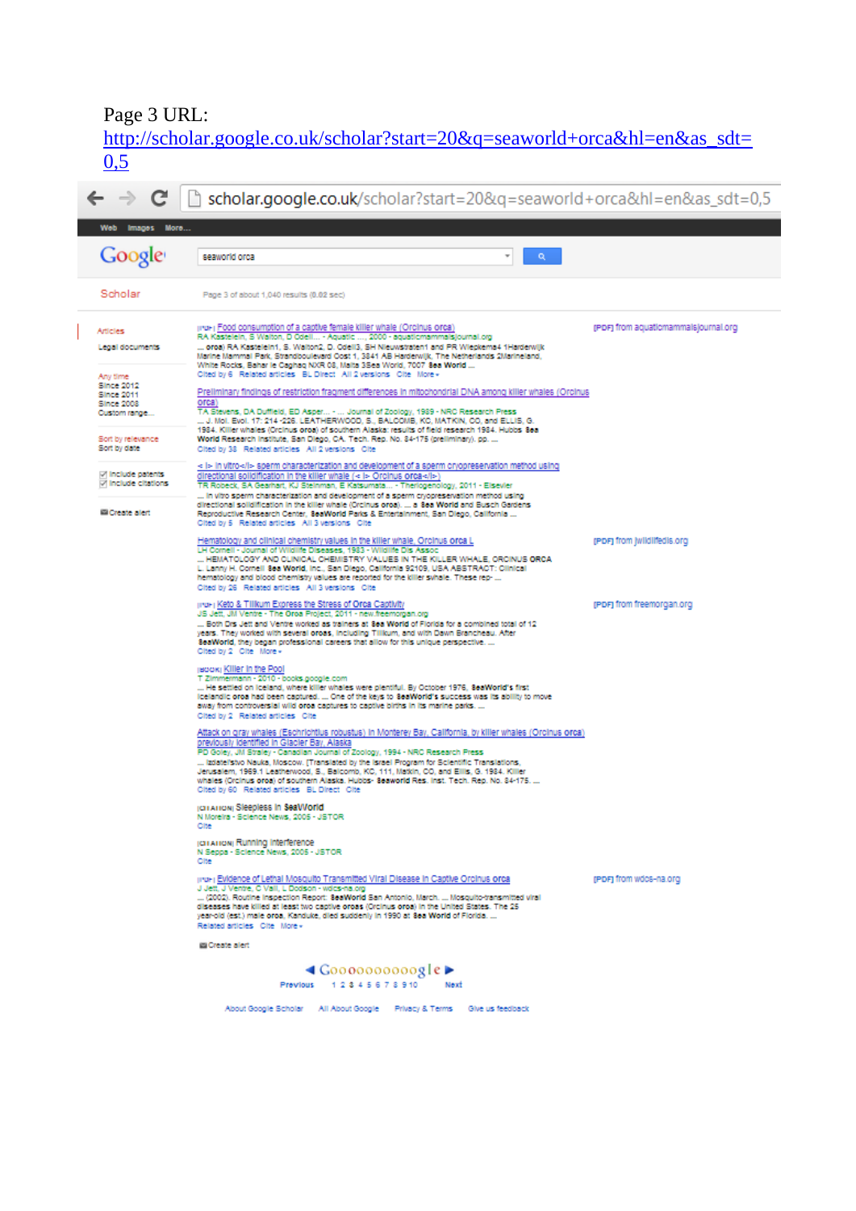## Page 3 URL:

[http://scholar.google.co.uk/scholar?start=20&q=seaworld+orca&hl=en&as\\_sdt=](http://scholar.google.co.uk/scholar?start=20&q=seaworld+orca&hl=en&as_sdt=0,5)  $\overline{0,5}$  $\overline{0,5}$  $\overline{0,5}$ 

| Images More<br>Web                                                                      |                                                                                                                                                                                                                                                                                                                                                                                                                                                                                                                                                                                        |                                      |
|-----------------------------------------------------------------------------------------|----------------------------------------------------------------------------------------------------------------------------------------------------------------------------------------------------------------------------------------------------------------------------------------------------------------------------------------------------------------------------------------------------------------------------------------------------------------------------------------------------------------------------------------------------------------------------------------|--------------------------------------|
| Google                                                                                  | Q.<br>seaworld orca                                                                                                                                                                                                                                                                                                                                                                                                                                                                                                                                                                    |                                      |
| Scholar                                                                                 | Page 3 of about 1,040 results (0.02 sec)                                                                                                                                                                                                                                                                                                                                                                                                                                                                                                                                               |                                      |
| Articles<br>Legal documents                                                             | pro-p Food consumption of a captive female killer whale (Orcinus orca)<br>RA Kastelein, S Walton, D Odell - Aguatic , 2000 - aguaticmammaisjournal.org<br>oroa) RA Kastelein1, S. Walton2, D. Odell3, SH Nieuwstraten1 and PR Wiepkema4 1Harderwijk<br>Marine Mammal Park, Strandboulevard Oost 1, 3841 AB Harderwijk, The Netherlands 2Marineland,<br>White Rocks, Bahar le Caphag NXR 08, Malta 3Sea World, 7007 8ea World<br>Cited by 6 Related articles BL Direct All 2 versions Cite More -                                                                                       | (PDF) from aquatiomammalslournal.org |
| Any time<br><b>Since 2012</b><br><b>Since 2011</b><br><b>Since 2008</b><br>Custom range | Preliminary findings of restriction fragment differences in mitochondrial DNA among killer whales (Orcinus<br>orca)<br>TA Stevens, DA Duffield, ED Asper -  Journal of Zoology, 1989 - NRC Research Press<br>J. Mol. Evol. 17: 214-226. LEATHERWOOD, S., BALCOMB, KC, MATKIN, CO, and ELLIS, G.<br>1984. Killer whales (Orcinus oroa) of southern Alaska: results of field research 1984. Hubbs 8ea                                                                                                                                                                                    |                                      |
| Sort by relevance<br>Sort by date                                                       | World Research Institute, San Diego, CA. Tech. Rep. No. 84-175 (preliminary). pp.<br>Cited by 38 Related articles All 2 versions Cite                                                                                                                                                                                                                                                                                                                                                                                                                                                  |                                      |
| <b>Include patents</b><br><b>Include citations</b>                                      | - I> in vitro sperm characterization and development of a sperm cryopreservation method using<br>directional solidification in the killer whale (< i> Orcinus orca><br>TR Robeck, SA Gearhart, KJ Steinman, E Katsumata - Therlogenology, 2011 - Elsevier<br>In vitro sperm characterization and development of a sperm cryopreservation method using                                                                                                                                                                                                                                  |                                      |
| Create alert                                                                            | directional solidification in the killer whale (Orcinus oroa).  a 8ea World and Busch Gardens<br>Reproductive Research Center, SeaWorld Parks & Entertainment, San Diego, California<br>Cited by 5 Related articles All 3 versions Cite                                                                                                                                                                                                                                                                                                                                                |                                      |
|                                                                                         | Hematology and clinical chemistry values in the killer whale. Orcinus orca L<br>LH Comell - Journal of Wildlife Diseases, 1983 - Wildlife Dis Assoc<br>HEMATOLOGY AND CLINICAL CHEMISTRY VALUES IN THE KILLER WHALE, ORCINUS ORCA<br>L. Lanny H. Cornell Sea World, Inc., San Diego, California 92109, USA ABSTRACT: Clinical<br>hematology and blood chemistry values are reported for the killer synale. These rep-<br>Cited by 26 Related articles All 3 versions Cite                                                                                                              | (PDF) from [wildlifedis.org          |
|                                                                                         | pro-p Keto & Tillkum Express the Stress of Orca Captivity<br>JS Jett, JM Ventre - The Oroa Project, 2011 - new freemorgan.org<br>Both Drs Jett and Ventre worked as trainers at 8ea World of Florida for a combined total of 12<br>years. They worked with several oroas, including Tillkum, and with Dawn Brancheau. After<br>SeaWorld, they began professional careers that allow for this unique perspective.<br>Cited by 2 Cite More -                                                                                                                                             | (PDF) from freemorgan.org            |
|                                                                                         | jadokj Killer in the Pool<br>T Zimmermann - 2010 - books.google.com<br>He settled on loeland, where killer whales were plentiful. By October 1976, 8eaWorld's first<br>loelandic oroa had been captured.  One of the keys to 8eaWorld's success was its ability to move<br>away from controversial wild oroa captures to captive births in its marine parks.<br>Cited by 2 Related articles Cite                                                                                                                                                                                       |                                      |
|                                                                                         | Attack on gray whales (Eschrichtius robustus) in Monterey Bay, California, by killer whales (Orcinus orca)<br>previously identified in Glacier Bay, Alaska<br>PD Goley, JM Straley - Canadian Journal of Zoology, 1994 - NRC Research Press<br>Izdatel'stvo Nauka, Moscow. [Translated by the Israel Program for Scientific Translations,<br>Jerusalem, 1969.1 Leatherwood, S., Balcomb, KC, 111, Matkin, CO, and Eilis, G. 1984. Killer<br>whales (Orcinus oroa) of southern Alaska. Hubbs- Seaworld Res. Inst. Tech. Rep. No. 84-175.<br>Cited by 60 Related articles BL Direct Cite |                                      |
|                                                                                         | <b>IGHAIRON Sleepless In SeaWorld</b><br>N Moreira - Science News, 2005 - JSTOR<br>Cite                                                                                                                                                                                                                                                                                                                                                                                                                                                                                                |                                      |
|                                                                                         | (GTATION) Running interference<br>N Seppa - Science News, 2005 - JSTOR<br>Cite                                                                                                                                                                                                                                                                                                                                                                                                                                                                                                         |                                      |
|                                                                                         | pro-) Evidence of Lethal Mosquito Transmitted Viral Disease in Captive Orcinus orca<br>J Jett, J Ventre, C Vall, L Dodson - wdcs-na.org<br>(2002). Routine inspection Report: SeaWorld San Antonio, March.  Mosquito-transmitted viral<br>diseases have killed at least two captive oroas (Orcinus oroa) in the United States. The 25<br>year-old (est.) male oroa, Kanduke, died suddenly in 1990 at 8ea World of Florida.<br>Related articles Olte More -                                                                                                                            | (PDF) from wdcs-na.org               |
|                                                                                         | <b>Es Create alert</b>                                                                                                                                                                                                                                                                                                                                                                                                                                                                                                                                                                 |                                      |
|                                                                                         | $\triangleleft$ Goooooooooogle $\triangleright$<br>Previous 12345678910<br>Next                                                                                                                                                                                                                                                                                                                                                                                                                                                                                                        |                                      |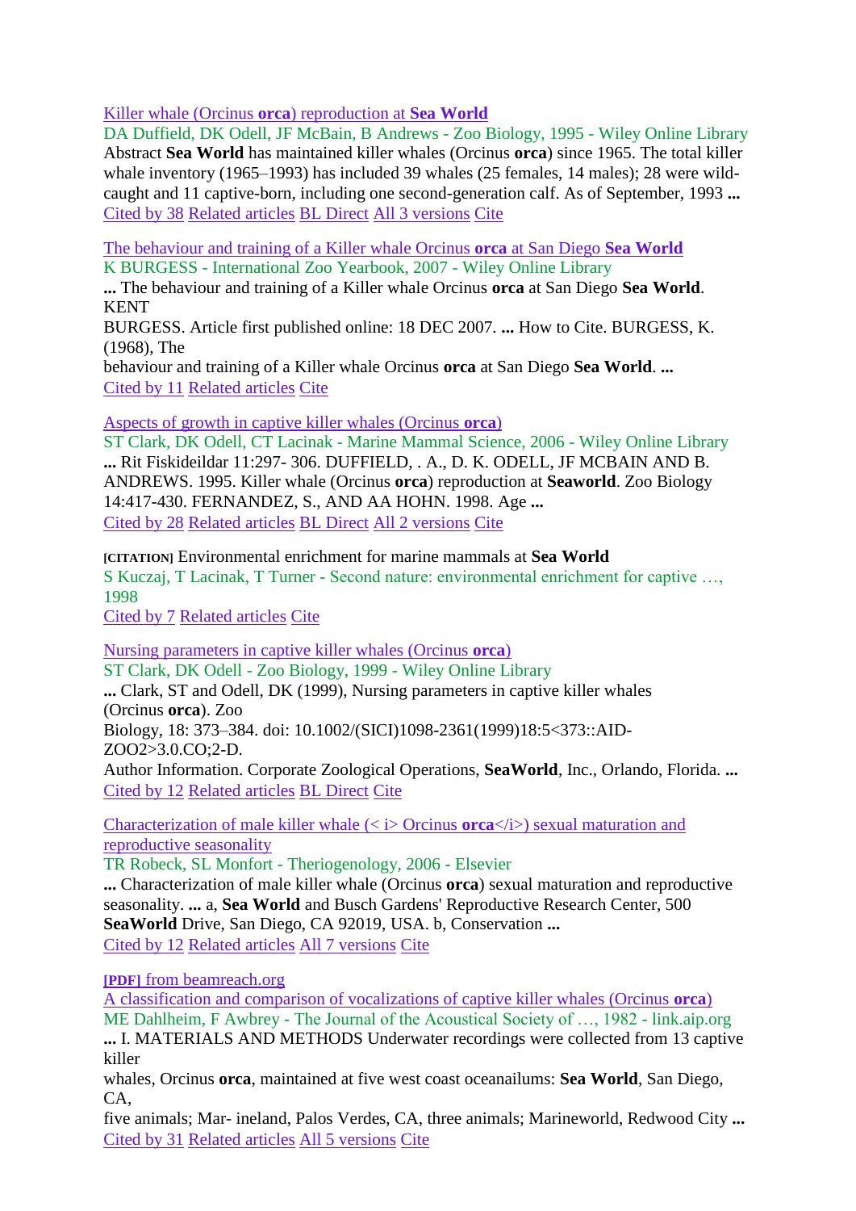[Killer whale \(Orcinus](http://onlinelibrary.wiley.com/doi/10.1002/zoo.1430140504/abstract) **orca**) reproduction at **Sea World**

DA Duffield, DK Odell, JF McBain, B Andrews - Zoo Biology, 1995 - Wiley Online Library Abstract **Sea World** has maintained killer whales (Orcinus **orca**) since 1965. The total killer whale inventory (1965–1993) has included 39 whales (25 females, 14 males); 28 were wildcaught and 11 captive-born, including one second-generation calf. As of September, 1993 **...** [Cited by 38](http://scholar.google.co.uk/scholar?cites=14321073092509068448&as_sdt=2005&sciodt=0,5&hl=en) [Related articles](http://scholar.google.co.uk/scholar?q=related:oGxo8RmsvsYJ:scholar.google.com/&hl=en&as_sdt=0,5) [BL Direct](http://direct.bl.uk/research/34/2C/EN032005690.html?source=googlescholar) [All 3 versions](http://scholar.google.co.uk/scholar?cluster=14321073092509068448&hl=en&as_sdt=0,5) [Cite](http://scholar.google.co.uk/scholar?q=seaworld+orca&btnG=&hl=en&as_sdt=0%2C5)

[The behaviour and training of a Killer whale Orcinus](http://onlinelibrary.wiley.com/doi/10.1111/j.1748-1090.1968.tb00484.x/abstract) **orca** at San Diego **Sea World** K BURGESS - International Zoo Yearbook, 2007 - Wiley Online Library

**...** The behaviour and training of a Killer whale Orcinus **orca** at San Diego **Sea World**. **KENT** 

BURGESS. Article first published online: 18 DEC 2007. **...** How to Cite. BURGESS, K. (1968), The

behaviour and training of a Killer whale Orcinus **orca** at San Diego **Sea World**. **...** [Cited by 11](http://scholar.google.co.uk/scholar?cites=7596126365104258827&as_sdt=2005&sciodt=0,5&hl=en) [Related articles](http://scholar.google.co.uk/scholar?q=related:C78E3a7camkJ:scholar.google.com/&hl=en&as_sdt=0,5) [Cite](http://scholar.google.co.uk/scholar?q=seaworld+orca&btnG=&hl=en&as_sdt=0%2C5)

[Aspects of growth in captive killer whales \(Orcinus](http://onlinelibrary.wiley.com/doi/10.1111/j.1748-7692.2000.tb00907.x/abstract) **orca**)

ST Clark, DK Odell, CT Lacinak - Marine Mammal Science, 2006 - Wiley Online Library **...** Rit Fiskideildar 11:297- 306. DUFFIELD, . A., D. K. ODELL, JF MCBAIN AND B. ANDREWS. 1995. Killer whale (Orcinus **orca**) reproduction at **Seaworld**. Zoo Biology 14:417-430. FERNANDEZ, S., AND AA HOHN. 1998. Age **...** [Cited by 28](http://scholar.google.co.uk/scholar?cites=13626364245799741745&as_sdt=2005&sciodt=0,5&hl=en) [Related articles](http://scholar.google.co.uk/scholar?q=related:MSn6AhaSGr0J:scholar.google.com/&hl=en&as_sdt=0,5) [BL Direct](http://direct.bl.uk/research/13/54/RN073571789.html?source=googlescholar) [All 2 versions](http://scholar.google.co.uk/scholar?cluster=13626364245799741745&hl=en&as_sdt=0,5) [Cite](http://scholar.google.co.uk/scholar?q=seaworld+orca&btnG=&hl=en&as_sdt=0%2C5)

**[CITATION]** Environmental enrichment for marine mammals at **Sea World** S Kuczaj, T Lacinak, T Turner - Second nature: environmental enrichment for captive …, 1998

[Cited by 7](http://scholar.google.co.uk/scholar?cites=16704126973632646885&as_sdt=2005&sciodt=0,5&hl=en) [Related articles](http://scholar.google.co.uk/scholar?q=related:5Q5l8vr60OcJ:scholar.google.com/&hl=en&as_sdt=0,5) [Cite](http://scholar.google.co.uk/scholar?q=seaworld+orca&btnG=&hl=en&as_sdt=0%2C5)

[Nursing parameters in captive killer whales \(Orcinus](http://onlinelibrary.wiley.com/doi/10.1002/(SICI)1098-2361(1999)18:5%3C373::AID-ZOO2%3E3.0.CO;2-D/abstract) **orca**)

ST Clark, DK Odell - Zoo Biology, 1999 - Wiley Online Library **...** Clark, ST and Odell, DK (1999), Nursing parameters in captive killer whales (Orcinus **orca**). Zoo Biology, 18: 373–384. doi: 10.1002/(SICI)1098-2361(1999)18:5<373::AID-ZOO2>3.0.CO;2-D. Author Information. Corporate Zoological Operations, **SeaWorld**, Inc., Orlando, Florida. **...** [Cited by 12](http://scholar.google.co.uk/scholar?cites=2112349449912553306&as_sdt=2005&sciodt=0,5&hl=en) [Related articles](http://scholar.google.co.uk/scholar?q=related:Wo-HC6KSUB0J:scholar.google.com/&hl=en&as_sdt=0,5) [BL Direct](http://direct.bl.uk/research/18/1E/RN074046332.html?source=googlescholar) [Cite](http://scholar.google.co.uk/scholar?q=seaworld+orca&btnG=&hl=en&as_sdt=0%2C5)

Characterization of male killer whale  $\langle \langle i \rangle$  Orcinus **orca** $\langle i \rangle$  sexual maturation and [reproductive seasonality](http://www.sciencedirect.com/science/article/pii/S0093691X05004759)

TR Robeck, SL Monfort - Theriogenology, 2006 - Elsevier

**...** Characterization of male killer whale (Orcinus **orca**) sexual maturation and reproductive seasonality. **...** a, **Sea World** and Busch Gardens' Reproductive Research Center, 500 **SeaWorld** Drive, San Diego, CA 92019, USA. b, Conservation **...** [Cited by 12](http://scholar.google.co.uk/scholar?cites=7106193624679591037&as_sdt=2005&sciodt=0,5&hl=en) [Related articles](http://scholar.google.co.uk/scholar?q=related:fSwskHNFnmIJ:scholar.google.com/&hl=en&as_sdt=0,5) [All 7 versions](http://scholar.google.co.uk/scholar?cluster=7106193624679591037&hl=en&as_sdt=0,5) [Cite](http://scholar.google.co.uk/scholar?q=seaworld+orca&btnG=&hl=en&as_sdt=0%2C5)

**[PDF]** [from beamreach.org](http://www.beamreach.org/data/101/Science/processing/Kathryn/BEAM%20REACH/Papers/captiveOovocalizaions.pdf)

[A classification and comparison of vocalizations of captive killer whales \(Orcinus](http://link.aip.org/link/jasman/v72/i3/p661/s1) **orca**) ME Dahlheim, F Awbrey - The Journal of the Acoustical Society of …, 1982 - link.aip.org

**...** I. MATERIALS AND METHODS Underwater recordings were collected from 13 captive killer

whales, Orcinus **orca**, maintained at five west coast oceanailums: **Sea World**, San Diego, CA,

five animals; Mar- ineland, Palos Verdes, CA, three animals; Marineworld, Redwood City **...** [Cited by 31](http://scholar.google.co.uk/scholar?cites=18053934512648673000&as_sdt=2005&sciodt=0,5&hl=en) [Related articles](http://scholar.google.co.uk/scholar?q=related:6NaWEMl1jPoJ:scholar.google.com/&hl=en&as_sdt=0,5) [All 5 versions](http://scholar.google.co.uk/scholar?cluster=18053934512648673000&hl=en&as_sdt=0,5) [Cite](http://scholar.google.co.uk/scholar?q=seaworld+orca&btnG=&hl=en&as_sdt=0%2C5)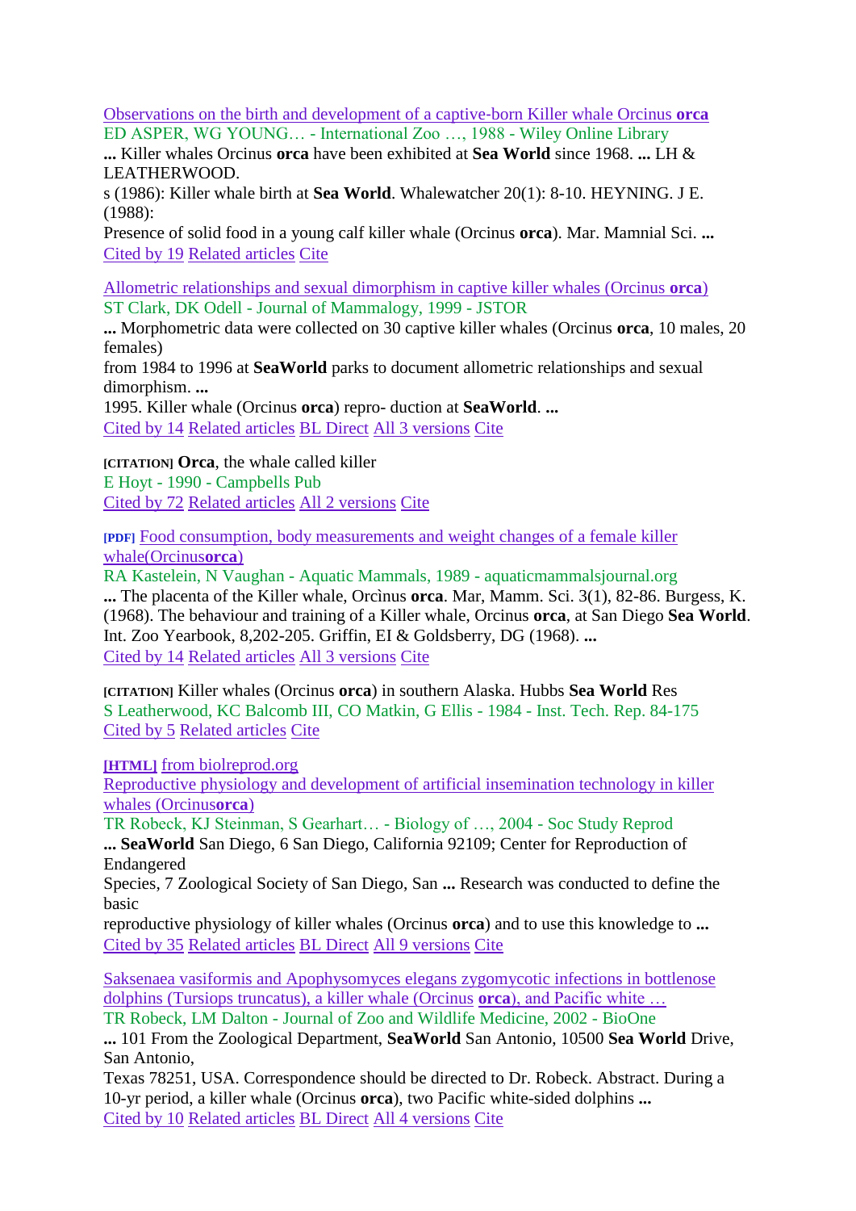[Observations on the birth and development of a captive](http://onlinelibrary.wiley.com/doi/10.1111/j.1748-1090.1988.tb03227.x/abstract)‐born Killer whale Orcinus **orca** ED ASPER, WG YOUNG… - International Zoo …, 1988 - Wiley Online Library

**...** Killer whales Orcinus **orca** have been exhibited at **Sea World** since 1968. **...** LH & LEATHERWOOD.

s (1986): Killer whale birth at **Sea World**. Whalewatcher 20(1): 8-10. HEYNING. J E. (1988):

Presence of solid food in a young calf killer whale (Orcinus **orca**). Mar. Mamnial Sci. **...** [Cited by 19](http://scholar.google.co.uk/scholar?cites=12042712893446467997&as_sdt=2005&sciodt=0,5&hl=en) [Related articles](http://scholar.google.co.uk/scholar?q=related:nbHkUZJPIKcJ:scholar.google.com/&hl=en&as_sdt=0,5) [Cite](http://scholar.google.co.uk/scholar?q=seaworld+orca&btnG=&hl=en&as_sdt=0%2C5)

[Allometric relationships and sexual dimorphism in captive killer whales \(Orcinus](http://www.jstor.org/stable/10.2307/1383247) **orca**) ST Clark, DK Odell - Journal of Mammalogy, 1999 - JSTOR

**...** Morphometric data were collected on 30 captive killer whales (Orcinus **orca**, 10 males, 20 females)

from 1984 to 1996 at **SeaWorld** parks to document allometric relationships and sexual dimorphism. **...**

1995. Killer whale (Orcinus **orca**) repro- duction at **SeaWorld**. **...** [Cited by 14](http://scholar.google.co.uk/scholar?cites=3043564285357200630&as_sdt=2005&sciodt=0,5&hl=en) [Related articles](http://scholar.google.co.uk/scholar?q=related:9hTIj5fpPCoJ:scholar.google.com/&hl=en&as_sdt=0,5) [BL Direct](http://direct.bl.uk/research/16/5D/RN066687053.html?source=googlescholar) [All 3 versions](http://scholar.google.co.uk/scholar?cluster=3043564285357200630&hl=en&as_sdt=0,5) [Cite](http://scholar.google.co.uk/scholar?q=seaworld+orca&btnG=&hl=en&as_sdt=0%2C5)

**[CITATION] Orca**, the whale called killer

E Hoyt - 1990 - Campbells Pub [Cited by 72](http://scholar.google.co.uk/scholar?cites=16416220534218877702&as_sdt=2005&sciodt=0,5&hl=en) [Related articles](http://scholar.google.co.uk/scholar?q=related:BuuWWJkh0uMJ:scholar.google.com/&hl=en&as_sdt=0,5) [All 2 versions](http://scholar.google.co.uk/scholar?cluster=16416220534218877702&hl=en&as_sdt=0,5) [Cite](http://scholar.google.co.uk/scholar?q=seaworld+orca&btnG=&hl=en&as_sdt=0%2C5)

**[PDF]** [Food consumption, body measurements and weight changes of a female killer](http://scholar.google.co.uk/scholar?q=seaworld+orca&btnG=&hl=en&as_sdt=0%2C5)  [whale\(Orcinus](http://scholar.google.co.uk/scholar?q=seaworld+orca&btnG=&hl=en&as_sdt=0%2C5)**orca**)

RA Kastelein, N Vaughan - Aquatic Mammals, 1989 - [aquaticmammalsjournal.org](http://scholar.google.co.uk/scholar?q=seaworld+orca&btnG=&hl=en&as_sdt=0%2C5) **...** The placenta of the Killer whale, Orcìnus **orca**[. Mar, Mamm. Sci. 3\(1\), 82-86. Burgess, K.](http://scholar.google.co.uk/scholar?q=seaworld+orca&btnG=&hl=en&as_sdt=0%2C5) [\(1968\). The behaviour and training of a Killer whale, Orcinus](http://scholar.google.co.uk/scholar?q=seaworld+orca&btnG=&hl=en&as_sdt=0%2C5) **orca**, at San Diego **Sea World**. [Int. Zoo Yearbook, 8,202-205. Griffin, EI & Goldsberry, DG \(1968\).](http://scholar.google.co.uk/scholar?q=seaworld+orca&btnG=&hl=en&as_sdt=0%2C5) **...** [Cited by 14](http://scholar.google.co.uk/scholar?q=seaworld+orca&btnG=&hl=en&as_sdt=0%2C5) [Related articles](http://scholar.google.co.uk/scholar?q=seaworld+orca&btnG=&hl=en&as_sdt=0%2C5) [All 3 versions](http://scholar.google.co.uk/scholar?q=seaworld+orca&btnG=&hl=en&as_sdt=0%2C5) [Cite](http://scholar.google.co.uk/scholar?q=seaworld+orca&btnG=&hl=en&as_sdt=0%2C5)

**[CITATION]** Killer whales (Orcinus **orca**[\) in southern Alaska. Hubbs](http://scholar.google.co.uk/scholar?q=seaworld+orca&btnG=&hl=en&as_sdt=0%2C5) **Sea World** Res [S Leatherwood, KC Balcomb III, CO Matkin, G Ellis -](http://scholar.google.co.uk/scholar?q=seaworld+orca&btnG=&hl=en&as_sdt=0%2C5) 1984 - Inst. Tech. Rep. 84-175 [Cited by 5](http://scholar.google.co.uk/scholar?q=seaworld+orca&btnG=&hl=en&as_sdt=0%2C5) [Related articles](http://scholar.google.co.uk/scholar?q=seaworld+orca&btnG=&hl=en&as_sdt=0%2C5) [Cite](http://scholar.google.co.uk/scholar?q=seaworld+orca&btnG=&hl=en&as_sdt=0%2C5)

**[HTML]** [from biolreprod.org](http://scholar.google.co.uk/scholar?q=seaworld+orca&btnG=&hl=en&as_sdt=0%2C5)

[Reproductive physiology and development of artificial insemination technology in killer](http://scholar.google.co.uk/scholar?q=seaworld+orca&btnG=&hl=en&as_sdt=0%2C5)  [whales \(Orcinus](http://scholar.google.co.uk/scholar?q=seaworld+orca&btnG=&hl=en&as_sdt=0%2C5)**orca**)

[TR Robeck, KJ Steinman, S Gearhart… -](http://scholar.google.co.uk/scholar?q=seaworld+orca&btnG=&hl=en&as_sdt=0%2C5) Biology of …, 2004 - Soc Study Reprod

**... SeaWorld** [San Diego, 6 San Diego, California 92109; Center for Reproduction of](http://scholar.google.co.uk/scholar?q=seaworld+orca&btnG=&hl=en&as_sdt=0%2C5)  [Endangered](http://scholar.google.co.uk/scholar?q=seaworld+orca&btnG=&hl=en&as_sdt=0%2C5)

[Species, 7 Zoological Society of San Diego, San](http://scholar.google.co.uk/scholar?q=seaworld+orca&btnG=&hl=en&as_sdt=0%2C5) **...** Research was conducted to define the [basic](http://scholar.google.co.uk/scholar?q=seaworld+orca&btnG=&hl=en&as_sdt=0%2C5)

[reproductive physiology of killer whales \(Orcinus](http://scholar.google.co.uk/scholar?q=seaworld+orca&btnG=&hl=en&as_sdt=0%2C5) **orca**) and to use this knowledge to **...** [Cited by 35](http://scholar.google.co.uk/scholar?q=seaworld+orca&btnG=&hl=en&as_sdt=0%2C5) [Related articles](http://scholar.google.co.uk/scholar?q=seaworld+orca&btnG=&hl=en&as_sdt=0%2C5) [BL Direct](http://scholar.google.co.uk/scholar?q=seaworld+orca&btnG=&hl=en&as_sdt=0%2C5) [All 9 versions](http://scholar.google.co.uk/scholar?q=seaworld+orca&btnG=&hl=en&as_sdt=0%2C5) [Cite](http://scholar.google.co.uk/scholar?q=seaworld+orca&btnG=&hl=en&as_sdt=0%2C5)

[Saksenaea vasiformis and Apophysomyces elegans zygomycotic infections in bottlenose](http://scholar.google.co.uk/scholar?q=seaworld+orca&btnG=&hl=en&as_sdt=0%2C5)  [dolphins \(Tursiops truncatus\), a killer whale \(Orcinus](http://scholar.google.co.uk/scholar?q=seaworld+orca&btnG=&hl=en&as_sdt=0%2C5) **orca**), and Pacific white …

TR Robeck, LM Dalton - [Journal of Zoo and Wildlife Medicine, 2002 -](http://scholar.google.co.uk/scholar?q=seaworld+orca&btnG=&hl=en&as_sdt=0%2C5) BioOne

**...** [101 From the Zoological Department,](http://scholar.google.co.uk/scholar?q=seaworld+orca&btnG=&hl=en&as_sdt=0%2C5) **SeaWorld** San Antonio, 10500 **Sea World** Drive, [San Antonio,](http://scholar.google.co.uk/scholar?q=seaworld+orca&btnG=&hl=en&as_sdt=0%2C5)

[Texas 78251, USA. Correspondence should be directed to Dr. Robeck. Abstract. During a](http://scholar.google.co.uk/scholar?q=seaworld+orca&btnG=&hl=en&as_sdt=0%2C5) [10-yr period, a killer whale \(Orcinus](http://scholar.google.co.uk/scholar?q=seaworld+orca&btnG=&hl=en&as_sdt=0%2C5) **orca**), two Pacific white-sided dolphins **...** [Cited by 10](http://scholar.google.co.uk/scholar?q=seaworld+orca&btnG=&hl=en&as_sdt=0%2C5) [Related articles](http://scholar.google.co.uk/scholar?q=seaworld+orca&btnG=&hl=en&as_sdt=0%2C5) [BL Direct](http://scholar.google.co.uk/scholar?q=seaworld+orca&btnG=&hl=en&as_sdt=0%2C5) [All 4 versions](http://scholar.google.co.uk/scholar?q=seaworld+orca&btnG=&hl=en&as_sdt=0%2C5) [Cite](http://scholar.google.co.uk/scholar?q=seaworld+orca&btnG=&hl=en&as_sdt=0%2C5)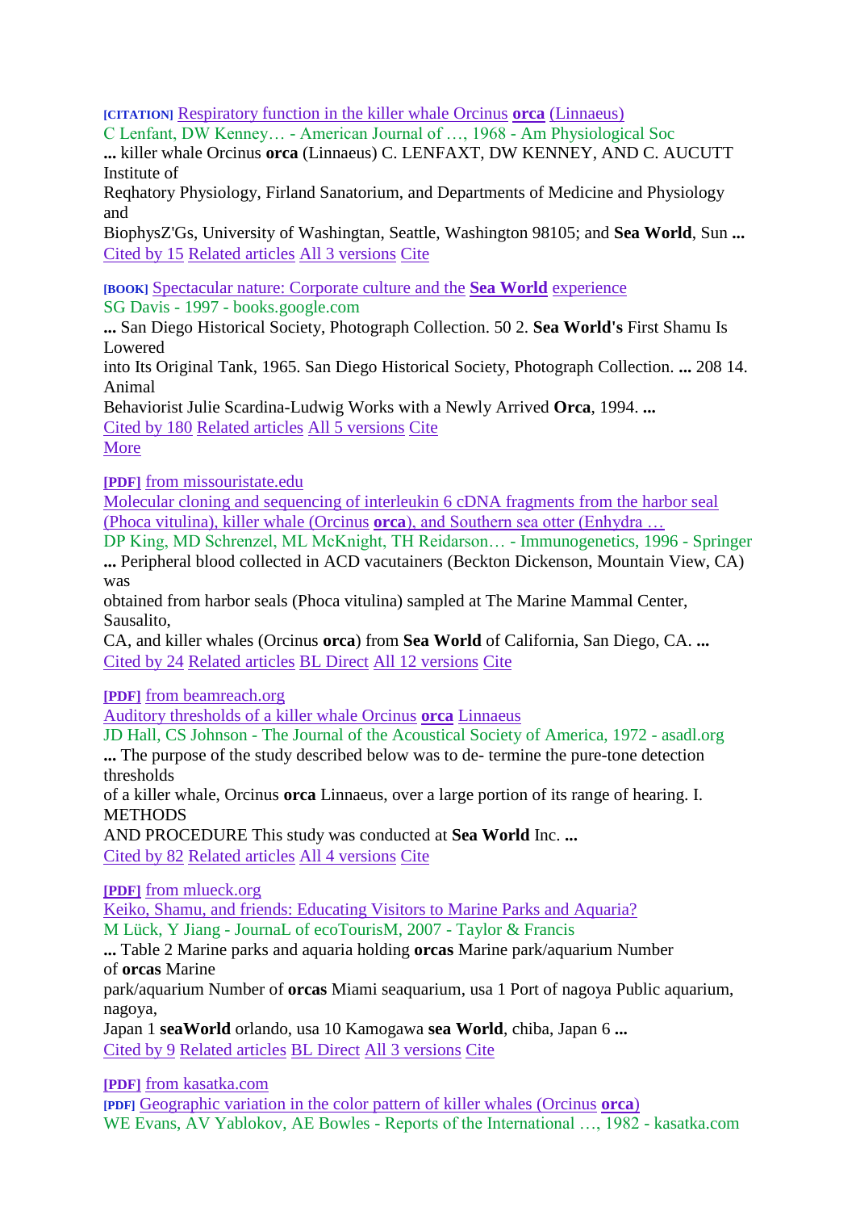**[CITATION]** [Respiratory function in the killer whale Orcinus](http://ajplegacy.physiology.org/content/215/6/1506.short) **orca** (Linnaeus)

C Lenfant, DW Kenney… - American Journal of …, 1968 - Am Physiological Soc

**...** killer whale Orcinus **orca** (Linnaeus) C. LENFAXT, DW KENNEY, AND C. AUCUTT Institute of

Reqhatory Physiology, Firland Sanatorium, and Departments of Medicine and Physiology and

BiophysZ'Gs, University of Washingtan, Seattle, Washington 98105; and **Sea World**, Sun **...** [Cited by 15](http://scholar.google.co.uk/scholar?cites=7661314906403531987&as_sdt=2005&sciodt=0,5&hl=en) [Related articles](http://scholar.google.co.uk/scholar?q=related:02yW5FB1UmoJ:scholar.google.com/&hl=en&as_sdt=0,5) [All 3 versions](http://scholar.google.co.uk/scholar?cluster=7661314906403531987&hl=en&as_sdt=0,5) [Cite](http://scholar.google.co.uk/scholar?start=10&q=seaworld+orca&hl=en&as_sdt=0,5)

**[BOOK]** [Spectacular nature: Corporate culture and the](http://books.google.co.uk/books?hl=en&lr=&id=00lqHfQYshYC&oi=fnd&pg=PR9&dq=seaworld+orca&ots=JK0gnI1AiC&sig=ahF7HTRlp-m3z83fBYPXRPGohh0) **Sea World** experience SG Davis - 1997 - books.google.com

**...** San Diego Historical Society, Photograph Collection. 50 2. **Sea World's** First Shamu Is Lowered

into Its Original Tank, 1965. San Diego Historical Society, Photograph Collection. **...** 208 14. Animal

Behaviorist Julie Scardina-Ludwig Works with a Newly Arrived **Orca**, 1994. **...** [Cited by 180](http://scholar.google.co.uk/scholar?cites=11578634276670796977&as_sdt=2005&sciodt=0,5&hl=en) [Related articles](http://scholar.google.co.uk/scholar?q=related:sfQfRYeSr6AJ:scholar.google.com/&hl=en&as_sdt=0,5) [All 5 versions](http://scholar.google.co.uk/scholar?cluster=11578634276670796977&hl=en&as_sdt=0,5) [Cite](http://scholar.google.co.uk/scholar?start=10&q=seaworld+orca&hl=en&as_sdt=0,5)

[More](http://scholar.google.co.uk/scholar?start=10&q=seaworld+orca&hl=en&as_sdt=0,5)

**[PDF]** [from missouristate.edu](http://people.missouristate.edu/MarkMcKnight/KingSchrenzelMcKnightMarine.pdf)

[Molecular cloning and sequencing of interleukin 6 cDNA fragments from the harbor seal](http://www.springerlink.com/index/VY75LPCXH3VHMUQY.pdf)  [\(Phoca vitulina\), killer whale \(Orcinus](http://www.springerlink.com/index/VY75LPCXH3VHMUQY.pdf) **orca**), and Southern sea otter (Enhydra …

DP King, MD Schrenzel, ML McKnight, TH Reidarson… - Immunogenetics, 1996 - Springer **...** Peripheral blood collected in ACD vacutainers (Beckton Dickenson, Mountain View, CA) was

obtained from harbor seals (Phoca vitulina) sampled at The Marine Mammal Center, Sausalito,

CA, and killer whales (Orcinus **orca**) from **Sea World** of California, San Diego, CA. **...** [Cited by 24](http://scholar.google.co.uk/scholar?cites=16493064249204283144&as_sdt=2005&sciodt=0,5&hl=en) [Related articles](http://scholar.google.co.uk/scholar?q=related:CBeE94wi4-QJ:scholar.google.com/&hl=en&as_sdt=0,5) [BL Direct](http://direct.bl.uk/research/3F/53/RN002906661.html?source=googlescholar) [All 12 versions](http://scholar.google.co.uk/scholar?cluster=16493064249204283144&hl=en&as_sdt=0,5) [Cite](http://scholar.google.co.uk/scholar?start=10&q=seaworld+orca&hl=en&as_sdt=0,5)

**[PDF]** [from beamreach.org](http://www.beamreach.org/data/101/Science/processing/Libby/Research%20Papers/noise%20research/research%204-27/Auditory%20Thresholds.%20Hall1971.pdf)

[Auditory thresholds of a killer whale Orcinus](http://asadl.org/jasa/resource/1/jasman/v51/i2B/p515_s1) **orca** Linnaeus

JD Hall, CS Johnson - The Journal of the Acoustical Society of America, 1972 - asadl.org

**...** The purpose of the study described below was to de- termine the pure-tone detection thresholds

of a killer whale, Orcinus **orca** Linnaeus, over a large portion of its range of hearing. I. **METHODS** 

AND PROCEDURE This study was conducted at **Sea World** Inc. **...** [Cited by 82](http://scholar.google.co.uk/scholar?cites=11366890183156108495&as_sdt=2005&sciodt=0,5&hl=en) [Related articles](http://scholar.google.co.uk/scholar?q=related:zwzlr2VOv50J:scholar.google.com/&hl=en&as_sdt=0,5) [All 4 versions](http://scholar.google.co.uk/scholar?cluster=11366890183156108495&hl=en&as_sdt=0,5) [Cite](http://scholar.google.co.uk/scholar?start=10&q=seaworld+orca&hl=en&as_sdt=0,5)

**[PDF]** [from mlueck.org](http://www.mlueck.org/pdf/joe125.pdf)

[Keiko, Shamu, and friends: Educating Visitors to Marine Parks and Aquaria?](http://www.tandfonline.com/doi/abs/10.2167/joe125.0) M Lück, Y Jiang - JournaL of ecoTourisM, 2007 - Taylor & Francis

**...** Table 2 Marine parks and aquaria holding **orcas** Marine park/aquarium Number of **orcas** Marine

park/aquarium Number of **orcas** Miami seaquarium, usa 1 Port of nagoya Public aquarium, nagoya,

Japan 1 **seaWorld** orlando, usa 10 Kamogawa **sea World**, chiba, Japan 6 **...** [Cited by 9](http://scholar.google.co.uk/scholar?cites=3593859056176201056&as_sdt=2005&sciodt=0,5&hl=en) [Related articles](http://scholar.google.co.uk/scholar?q=related:YP0zQMXz3zEJ:scholar.google.com/&hl=en&as_sdt=0,5) [BL Direct](http://direct.bl.uk/research/55/03/RN214965483.html?source=googlescholar) [All 3 versions](http://scholar.google.co.uk/scholar?cluster=3593859056176201056&hl=en&as_sdt=0,5) [Cite](http://scholar.google.co.uk/scholar?start=10&q=seaworld+orca&hl=en&as_sdt=0,5)

**[PDF]** [from kasatka.com](http://www.kasatka.com/kirsten/ColorVariation.pdf)

**[PDF]** [Geographic variation in the color pattern of killer whales \(Orcinus](http://www.kasatka.com/kirsten/ColorVariation.pdf) **orca**) WE Evans, AV Yablokov, AE Bowles - Reports of the International …, 1982 - kasatka.com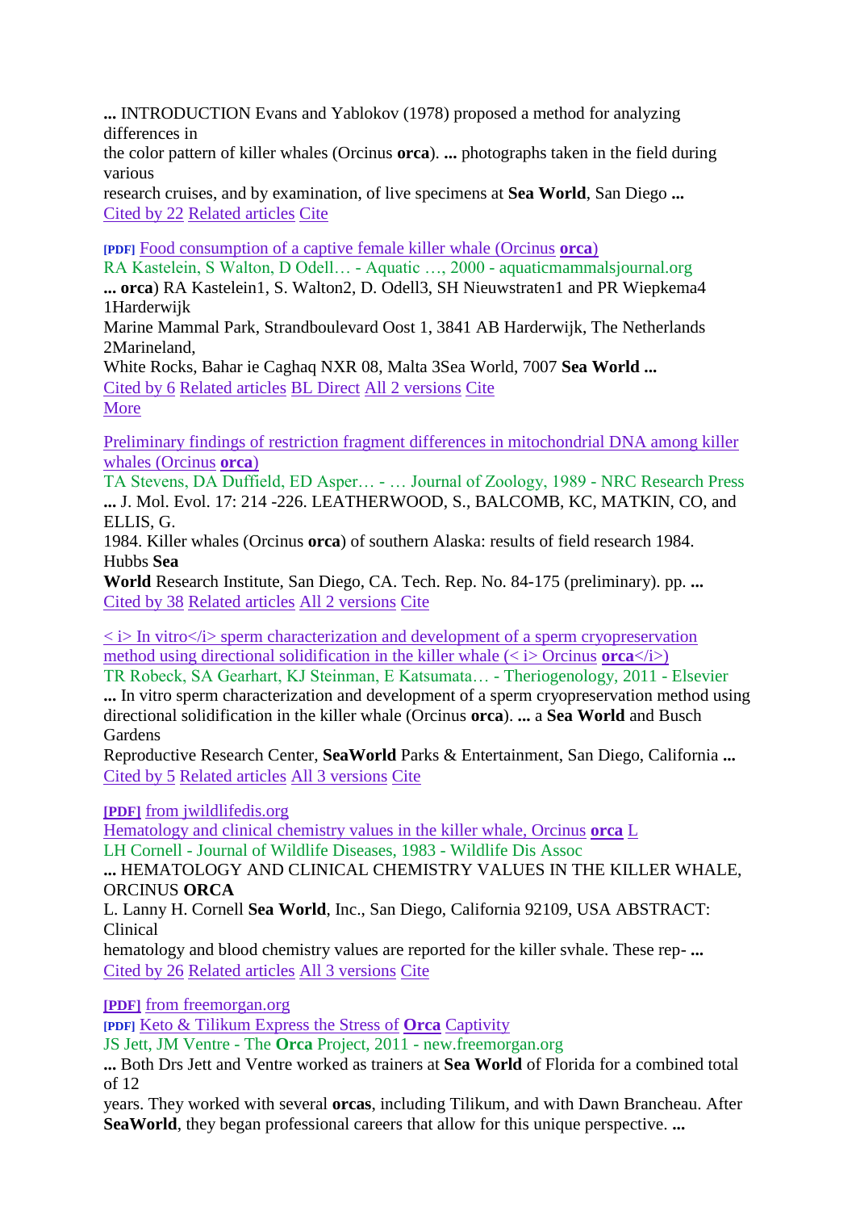**...** INTRODUCTION Evans and Yablokov (1978) proposed a method for analyzing differences in

the color pattern of killer whales (Orcinus **orca**). **...** photographs taken in the field during various

research cruises, and by examination, of live specimens at **Sea World**, San Diego **...** [Cited by 22](http://scholar.google.co.uk/scholar?cites=10671807420511668399&as_sdt=2005&sciodt=0,5&hl=en) [Related articles](http://scholar.google.co.uk/scholar?q=related:r8j5qk7gGZQJ:scholar.google.com/&hl=en&as_sdt=0,5) [Cite](http://scholar.google.co.uk/scholar?start=10&q=seaworld+orca&hl=en&as_sdt=0,5)

**[PDF]** [Food consumption of a captive female killer whale \(Orcinus](http://scholar.google.co.uk/scholar?start=10&q=seaworld+orca&hl=en&as_sdt=0,5) **orca**)

[RA Kastelein, S Walton, D Odell… -](http://scholar.google.co.uk/scholar?start=10&q=seaworld+orca&hl=en&as_sdt=0,5) Aquatic …, 2000 - aquaticmammalsjournal.org

**... orca**[\) RA Kastelein1, S. Walton2, D. Odell3, SH Nieuwstraten1 and PR Wiepkema4](http://scholar.google.co.uk/scholar?start=10&q=seaworld+orca&hl=en&as_sdt=0,5)  [1Harderwijk](http://scholar.google.co.uk/scholar?start=10&q=seaworld+orca&hl=en&as_sdt=0,5)

[Marine Mammal Park, Strandboulevard Oost 1, 3841 AB Harderwijk, The Netherlands](http://scholar.google.co.uk/scholar?start=10&q=seaworld+orca&hl=en&as_sdt=0,5)  [2Marineland,](http://scholar.google.co.uk/scholar?start=10&q=seaworld+orca&hl=en&as_sdt=0,5)

[White Rocks, Bahar ie Caghaq NXR 08, Malta 3Sea World, 7007](http://scholar.google.co.uk/scholar?start=10&q=seaworld+orca&hl=en&as_sdt=0,5) **Sea World ...** [Cited by 6](http://scholar.google.co.uk/scholar?start=10&q=seaworld+orca&hl=en&as_sdt=0,5) [Related articles](http://scholar.google.co.uk/scholar?start=10&q=seaworld+orca&hl=en&as_sdt=0,5) [BL Direct](http://scholar.google.co.uk/scholar?start=10&q=seaworld+orca&hl=en&as_sdt=0,5) [All 2 versions](http://scholar.google.co.uk/scholar?start=10&q=seaworld+orca&hl=en&as_sdt=0,5) [Cite](http://scholar.google.co.uk/scholar?start=10&q=seaworld+orca&hl=en&as_sdt=0,5) [More](http://scholar.google.co.uk/scholar?start=10&q=seaworld+orca&hl=en&as_sdt=0,5)

Preliminary [findings of restriction fragment differences in mitochondrial DNA among killer](http://scholar.google.co.uk/scholar?start=10&q=seaworld+orca&hl=en&as_sdt=0,5)  [whales \(Orcinus](http://scholar.google.co.uk/scholar?start=10&q=seaworld+orca&hl=en&as_sdt=0,5) **orca**)

[TA Stevens, DA Duffield, ED Asper… -](http://scholar.google.co.uk/scholar?start=10&q=seaworld+orca&hl=en&as_sdt=0,5) … Journal of Zoology, 1989 - NRC Research Press **...** [J. Mol. Evol. 17: 214 -226. LEATHERWOOD, S., BALCOMB, KC, MATKIN,](http://scholar.google.co.uk/scholar?start=10&q=seaworld+orca&hl=en&as_sdt=0,5) CO, and [ELLIS, G.](http://scholar.google.co.uk/scholar?start=10&q=seaworld+orca&hl=en&as_sdt=0,5)

1984. Killer whales (Orcinus **orca**[\) of southern Alaska: results of field research 1984.](http://scholar.google.co.uk/scholar?start=10&q=seaworld+orca&hl=en&as_sdt=0,5)  [Hubbs](http://scholar.google.co.uk/scholar?start=10&q=seaworld+orca&hl=en&as_sdt=0,5) **Sea**

**World** [Research Institute, San Diego, CA. Tech. Rep. No. 84-175 \(preliminary\). pp.](http://scholar.google.co.uk/scholar?start=10&q=seaworld+orca&hl=en&as_sdt=0,5) **...** [Cited by 38](http://scholar.google.co.uk/scholar?start=10&q=seaworld+orca&hl=en&as_sdt=0,5) [Related articles](http://scholar.google.co.uk/scholar?start=10&q=seaworld+orca&hl=en&as_sdt=0,5) [All 2 versions](http://scholar.google.co.uk/scholar?start=10&q=seaworld+orca&hl=en&as_sdt=0,5) [Cite](http://scholar.google.co.uk/scholar?start=10&q=seaworld+orca&hl=en&as_sdt=0,5)

 $\langle \rangle$  is In vitro $\langle \rangle$  sperm characterization and development of a sperm cryopreservation method using directional solidification in the killer whale  $\langle \langle i \rangle$  Orcinus **orca** $\langle i \rangle$ )

[TR Robeck, SA Gearhart, KJ Steinman, E Katsumata… -](http://scholar.google.co.uk/scholar?start=10&q=seaworld+orca&hl=en&as_sdt=0,5) Theriogenology, 2011 - Elsevier **...** [In vitro sperm characterization and development of a sperm cryopreservation method using](http://scholar.google.co.uk/scholar?start=10&q=seaworld+orca&hl=en&as_sdt=0,5) [directional solidification in the killer whale \(Orcinus](http://scholar.google.co.uk/scholar?start=10&q=seaworld+orca&hl=en&as_sdt=0,5) **orca**). **...** a **Sea World** and Busch **[Gardens](http://scholar.google.co.uk/scholar?start=10&q=seaworld+orca&hl=en&as_sdt=0,5)** 

Reproductive Research Center, **SeaWorld** [Parks & Entertainment, San Diego, California](http://scholar.google.co.uk/scholar?start=10&q=seaworld+orca&hl=en&as_sdt=0,5) **...** [Cited by 5](http://scholar.google.co.uk/scholar?start=10&q=seaworld+orca&hl=en&as_sdt=0,5) [Related articles](http://scholar.google.co.uk/scholar?start=10&q=seaworld+orca&hl=en&as_sdt=0,5) [All 3 versions](http://scholar.google.co.uk/scholar?start=10&q=seaworld+orca&hl=en&as_sdt=0,5) [Cite](http://scholar.google.co.uk/scholar?start=10&q=seaworld+orca&hl=en&as_sdt=0,5)

**[PDF]** [from jwildlifedis.org](http://scholar.google.co.uk/scholar?start=10&q=seaworld+orca&hl=en&as_sdt=0,5)

[Hematology and clinical chemistry values in the killer whale, Orcinus](http://scholar.google.co.uk/scholar?start=10&q=seaworld+orca&hl=en&as_sdt=0,5) **orca** L LH Cornell - [Journal of Wildlife Diseases, 1983 -](http://scholar.google.co.uk/scholar?start=10&q=seaworld+orca&hl=en&as_sdt=0,5) Wildlife Dis Assoc

**...** [HEMATOLOGY AND CLINICAL CHEMISTRY VALUES IN THE KILLER WHALE,](http://scholar.google.co.uk/scholar?start=10&q=seaworld+orca&hl=en&as_sdt=0,5)  [ORCINUS](http://scholar.google.co.uk/scholar?start=10&q=seaworld+orca&hl=en&as_sdt=0,5) **ORCA**

L. Lanny H. Cornell **Sea World**[, Inc., San Diego, California 92109, USA ABSTRACT:](http://scholar.google.co.uk/scholar?start=10&q=seaworld+orca&hl=en&as_sdt=0,5)  [Clinical](http://scholar.google.co.uk/scholar?start=10&q=seaworld+orca&hl=en&as_sdt=0,5)

[hematology and blood chemistry values are reported for the killer svhale. These rep-](http://scholar.google.co.uk/scholar?start=10&q=seaworld+orca&hl=en&as_sdt=0,5) **...** [Cited by 26](http://scholar.google.co.uk/scholar?start=10&q=seaworld+orca&hl=en&as_sdt=0,5) [Related articles](http://scholar.google.co.uk/scholar?start=10&q=seaworld+orca&hl=en&as_sdt=0,5) [All 3 versions](http://scholar.google.co.uk/scholar?start=10&q=seaworld+orca&hl=en&as_sdt=0,5) [Cite](http://scholar.google.co.uk/scholar?start=10&q=seaworld+orca&hl=en&as_sdt=0,5)

**[PDF]** [from freemorgan.org](http://scholar.google.co.uk/scholar?start=10&q=seaworld+orca&hl=en&as_sdt=0,5)

**[PDF]** [Keto & Tilikum Express the Stress of](http://scholar.google.co.uk/scholar?start=10&q=seaworld+orca&hl=en&as_sdt=0,5) **Orca** Captivity

JS Jett, JM Ventre - The **Orca** Project, 2011 - [new.freemorgan.org](http://scholar.google.co.uk/scholar?start=10&q=seaworld+orca&hl=en&as_sdt=0,5)

**...** [Both Drs Jett and Ventre worked as trainers at](http://scholar.google.co.uk/scholar?start=10&q=seaworld+orca&hl=en&as_sdt=0,5) **Sea World** of Florida for a combined total [of 12](http://scholar.google.co.uk/scholar?start=10&q=seaworld+orca&hl=en&as_sdt=0,5)

years. They worked with several **orcas**[, including Tilikum, and with Dawn Brancheau. After](http://scholar.google.co.uk/scholar?start=10&q=seaworld+orca&hl=en&as_sdt=0,5) **SeaWorld**[, they began professional careers that allow for this unique perspective.](http://scholar.google.co.uk/scholar?start=10&q=seaworld+orca&hl=en&as_sdt=0,5) **...**